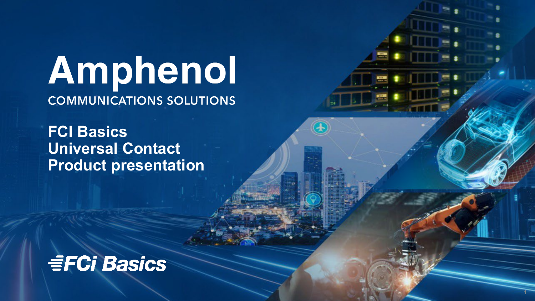# Amphenol **COMMUNICATIONS SOLUTIONS**

**FCI Basics Universal Contact Product presentation**

## **EFCi Basics**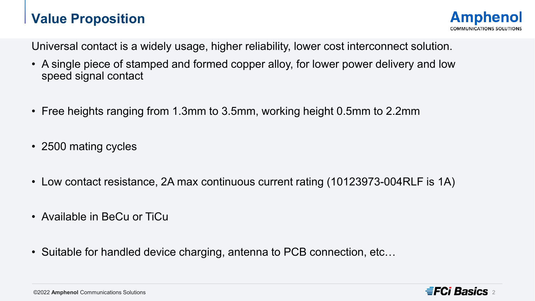## **Value Proposition**

Universal contact is a widely usage, higher reliability, lower cost interconnect solution.

- A single piece of stamped and formed copper alloy, for lower power delivery and low speed signal contact
- Free heights ranging from 1.3mm to 3.5mm, working height 0.5mm to 2.2mm
- 2500 mating cycles
- Low contact resistance, 2A max continuous current rating (10123973-004RLF is 1A)
- Available in BeCu or TiCu
- Suitable for handled device charging, antenna to PCB connection, etc…

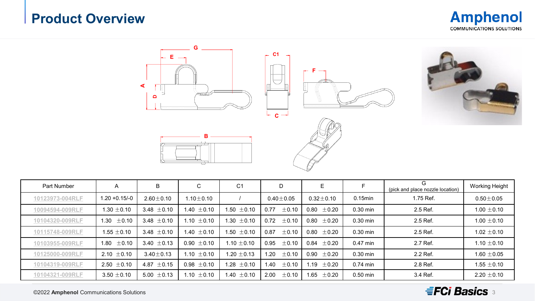## **Product Overview**







#### $\equiv$ FCi Basics  $_3$

©2022 **Amphenol** Communications Solutions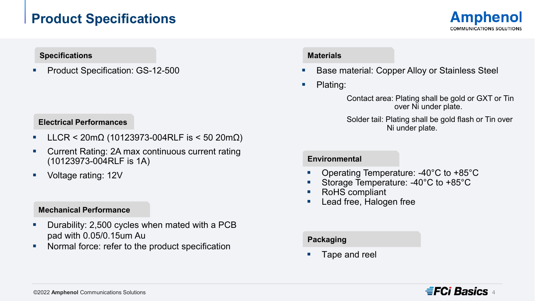## **Product Specifications**



#### **Specifications**

**Product Specification: GS-12-500** 

#### **Electrical Performances**

- LLCR < 20mΩ (10123973-004RLF is < 50 20mΩ)
- Current Rating: 2A max continuous current rating (10123973-004RLF is 1A)
- Voltage rating: 12V

#### **Mechanical Performance**

- **•** Durability: 2,500 cycles when mated with a PCB pad with 0.05/0.15um Au
- Normal force: refer to the product specification

#### **Materials**

Base material: Copper Alloy or Stainless Steel

• Plating:

Contact area: Plating shall be gold or GXT or Tin over Ni under plate.

Solder tail: Plating shall be gold flash or Tin over Ni under plate.

#### **Environmental**

- Operating Temperature: -40°C to +85°C
- Storage Temperature: -40°C to +85°C
- RoHS compliant
- Lead free, Halogen free

#### **Packaging**

Tape and reel

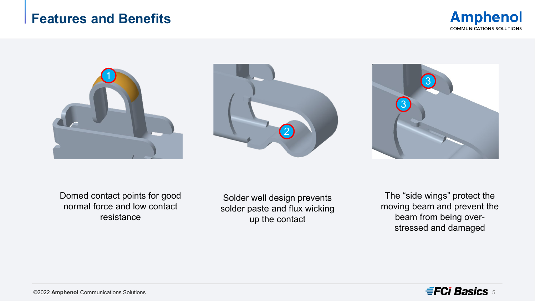### **Features and Benefits**









Domed contact points for good normal force and low contact resistance

Solder well design prevents solder paste and flux wicking up the contact

The "side wings" protect the moving beam and prevent the beam from being overstressed and damaged

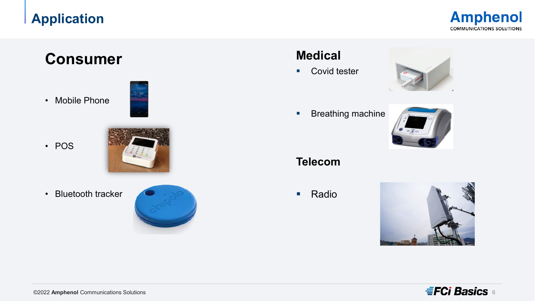## **Application**

**Amphenol COMMUNICATIONS SOLUTIONS** 

## **Consumer**

• Mobile Phone

• POS



07:00

• Bluetooth tracker



## **Medical**

**Covid tester** 



**Breathing machine** 



**Telecom**

■ Radio